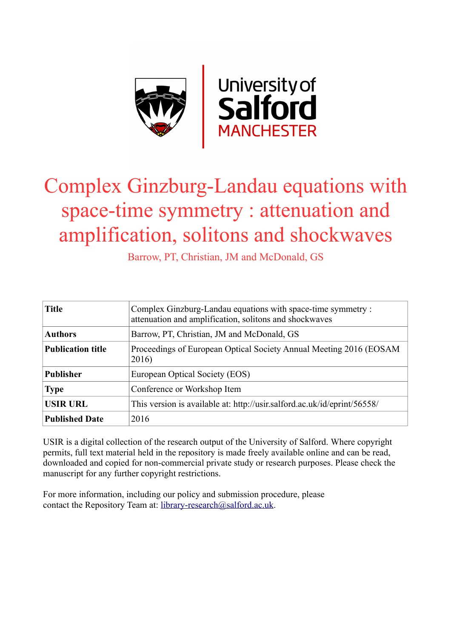

# Complex Ginzburg-Landau equations with space-time symmetry : attenuation and amplification, solitons and shockwaves

Barrow, PT, Christian, JM and McDonald, GS

| <b>Title</b>             | Complex Ginzburg-Landau equations with space-time symmetry:<br>attenuation and amplification, solitons and shockwaves |
|--------------------------|-----------------------------------------------------------------------------------------------------------------------|
| <b>Authors</b>           | Barrow, PT, Christian, JM and McDonald, GS                                                                            |
| <b>Publication title</b> | Proceedings of European Optical Society Annual Meeting 2016 (EOSAM<br>2016)                                           |
| <b>Publisher</b>         | European Optical Society (EOS)                                                                                        |
| <b>Type</b>              | Conference or Workshop Item                                                                                           |
| <b>USIR URL</b>          | This version is available at: http://usir.salford.ac.uk/id/eprint/56558/                                              |
| <b>Published Date</b>    | 2016                                                                                                                  |

USIR is a digital collection of the research output of the University of Salford. Where copyright permits, full text material held in the repository is made freely available online and can be read, downloaded and copied for non-commercial private study or research purposes. Please check the manuscript for any further copyright restrictions.

For more information, including our policy and submission procedure, please contact the Repository Team at: [library-research@salford.ac.uk.](mailto:library-research@salford.ac.uk)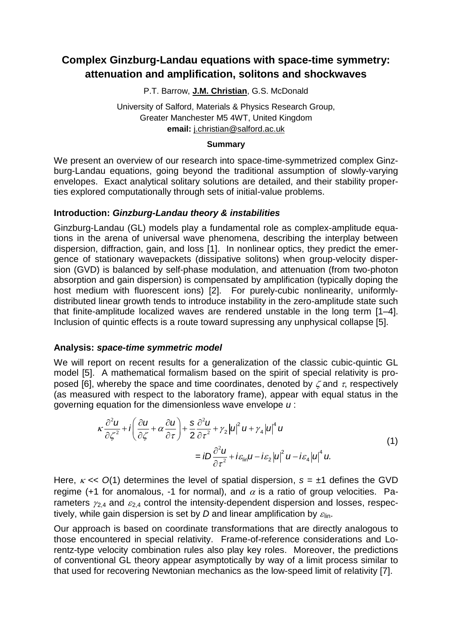## **Complex Ginzburg-Landau equations with space-time symmetry: attenuation and amplification, solitons and shockwaves**

P.T. Barrow, **J.M. Christian**, G.S. McDonald

University of Salford, Materials & Physics Research Group, Greater Manchester M5 4WT, United Kingdom **email:** j.christian@salford.ac.uk

#### **Summary**

We present an overview of our research into space-time-symmetrized complex Ginzburg-Landau equations, going beyond the traditional assumption of slowly-varying envelopes. Exact analytical solitary solutions are detailed, and their stability properties explored computationally through sets of initial-value problems.

### **Introduction:** *Ginzburg-Landau theory & instabilities*

Ginzburg-Landau (GL) models play a fundamental role as complex-amplitude equations in the arena of universal wave phenomena, describing the interplay between dispersion, diffraction, gain, and loss [1]. In nonlinear optics, they predict the emergence of stationary wavepackets (dissipative solitons) when group-velocity dispersion (GVD) is balanced by self-phase modulation, and attenuation (from two-photon absorption and gain dispersion) is compensated by amplification (typically doping the host medium with fluorescent ions) [2]. For purely-cubic nonlinearity, uniformlydistributed linear growth tends to introduce instability in the zero-amplitude state such that finite-amplitude localized waves are rendered unstable in the long term [1–4]. Inclusion of quintic effects is a route toward supressing any unphysical collapse [5].

### **Analysis:** *space-time symmetric model*

We will report on recent results for a generalization of the classic cubic-quintic GL model [5]. A mathematical formalism based on the spirit of special relativity is proposed [6], whereby the space and time coordinates, denoted by  $\zeta$  and  $\tau$ , respectively (as measured with respect to the laboratory frame), appear with equal status in the

(as measured with respect to the laboratory frame), appear with equal status in the  
governing equation for the dimensionless wave envelope *u*:  

$$
\kappa \frac{\partial^2 u}{\partial \zeta^2} + i \left( \frac{\partial u}{\partial \zeta} + \alpha \frac{\partial u}{\partial \tau} \right) + \frac{s}{2} \frac{\partial^2 u}{\partial \tau^2} + \gamma_2 |u|^2 u + \gamma_4 |u|^4 u
$$

$$
= iD \frac{\partial^2 u}{\partial \tau^2} + i \varepsilon_{\text{lin}} u - i \varepsilon_2 |u|^2 u - i \varepsilon_4 |u|^4 u.
$$
(1)

Here,  $\kappa \ll O(1)$  determines the level of spatial dispersion,  $s = \pm 1$  defines the GVD regime (+1 for anomalous, -1 for normal), and  $\alpha$  is a ratio of group velocities. Parameters  $\gamma_{2,4}$  and  $\epsilon_{2,4}$  control the intensity-dependent dispersion and losses, respectively, while gain dispersion is set by *D* and linear amplification by  $\varepsilon_{lin}$ .

Our approach is based on coordinate transformations that are directly analogous to those encountered in special relativity. Frame-of-reference considerations and Lorentz-type velocity combination rules also play key roles. Moreover, the predictions of conventional GL theory appear asymptotically by way of a limit process similar to that used for recovering Newtonian mechanics as the low-speed limit of relativity [7].